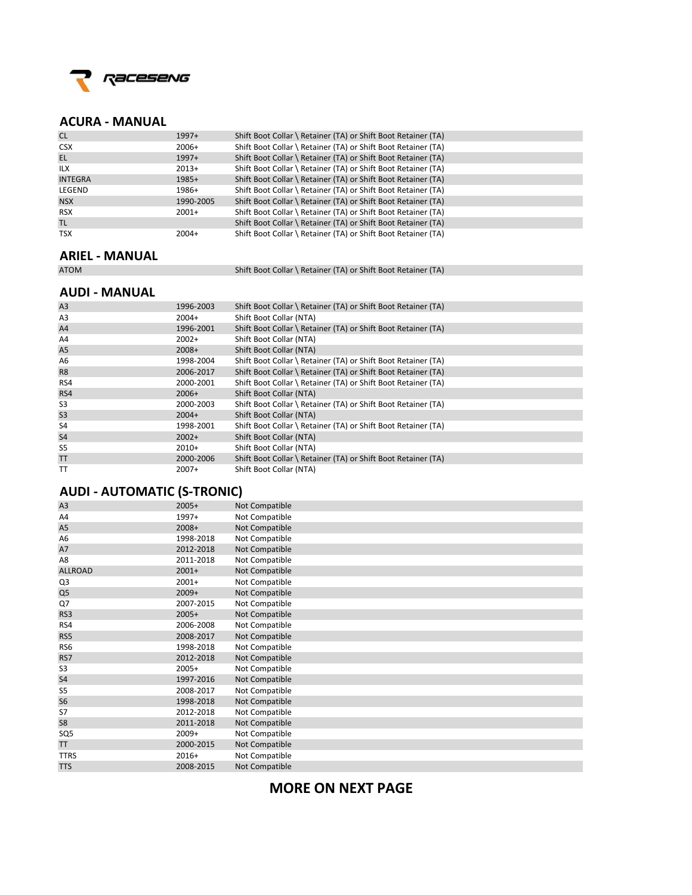

### **ACURA - MANUAL**

| <b>CL</b>      | $1997+$   | Shift Boot Collar \ Retainer (TA) or Shift Boot Retainer (TA) |
|----------------|-----------|---------------------------------------------------------------|
| <b>CSX</b>     | $2006+$   | Shift Boot Collar \ Retainer (TA) or Shift Boot Retainer (TA) |
| EL.            | $1997+$   | Shift Boot Collar \ Retainer (TA) or Shift Boot Retainer (TA) |
| ILX            | $2013+$   | Shift Boot Collar \ Retainer (TA) or Shift Boot Retainer (TA) |
| <b>INTEGRA</b> | $1985+$   | Shift Boot Collar \ Retainer (TA) or Shift Boot Retainer (TA) |
| LEGEND         | 1986+     | Shift Boot Collar \ Retainer (TA) or Shift Boot Retainer (TA) |
| <b>NSX</b>     | 1990-2005 | Shift Boot Collar \ Retainer (TA) or Shift Boot Retainer (TA) |
| <b>RSX</b>     | $2001+$   | Shift Boot Collar \ Retainer (TA) or Shift Boot Retainer (TA) |
| <b>TL</b>      |           | Shift Boot Collar \ Retainer (TA) or Shift Boot Retainer (TA) |
| <b>TSX</b>     | $2004+$   | Shift Boot Collar \ Retainer (TA) or Shift Boot Retainer (TA) |
|                |           |                                                               |

# **ARIEL - MANUAL**

Shift Boot Collar \ Retainer (TA) or Shift Boot Retainer (TA)

#### **AUDI - MANUAL**

| A <sub>3</sub> | 1996-2003 | Shift Boot Collar \ Retainer (TA) or Shift Boot Retainer (TA) |
|----------------|-----------|---------------------------------------------------------------|
| A3             | $2004+$   | Shift Boot Collar (NTA)                                       |
| A4             | 1996-2001 | Shift Boot Collar \ Retainer (TA) or Shift Boot Retainer (TA) |
| A4             | $2002+$   | Shift Boot Collar (NTA)                                       |
| A <sub>5</sub> | $2008+$   | Shift Boot Collar (NTA)                                       |
| A6             | 1998-2004 | Shift Boot Collar \ Retainer (TA) or Shift Boot Retainer (TA) |
| R <sub>8</sub> | 2006-2017 | Shift Boot Collar \ Retainer (TA) or Shift Boot Retainer (TA) |
| RS4            | 2000-2001 | Shift Boot Collar \ Retainer (TA) or Shift Boot Retainer (TA) |
| RS4            | $2006+$   | Shift Boot Collar (NTA)                                       |
| S <sub>3</sub> | 2000-2003 | Shift Boot Collar \ Retainer (TA) or Shift Boot Retainer (TA) |
| <b>S3</b>      | $2004+$   | Shift Boot Collar (NTA)                                       |
| S4             | 1998-2001 | Shift Boot Collar \ Retainer (TA) or Shift Boot Retainer (TA) |
| <b>S4</b>      | $2002+$   | Shift Boot Collar (NTA)                                       |
| S <sub>5</sub> | $2010+$   | Shift Boot Collar (NTA)                                       |
| <b>TT</b>      | 2000-2006 | Shift Boot Collar \ Retainer (TA) or Shift Boot Retainer (TA) |
| TΤ             | $2007+$   | Shift Boot Collar (NTA)                                       |

## **AUDI - AUTOMATIC (S-TRONIC)**

| A3             | $2005+$   | Not Compatible |
|----------------|-----------|----------------|
| A4             | 1997+     | Not Compatible |
| A <sub>5</sub> | $2008+$   | Not Compatible |
| A6             | 1998-2018 | Not Compatible |
| A7             | 2012-2018 | Not Compatible |
| A8             | 2011-2018 | Not Compatible |
| <b>ALLROAD</b> | $2001+$   | Not Compatible |
| Q3             | $2001+$   | Not Compatible |
| Q <sub>5</sub> | $2009+$   | Not Compatible |
| Q7             | 2007-2015 | Not Compatible |
| RS3            | $2005+$   | Not Compatible |
| RS4            | 2006-2008 | Not Compatible |
| RS5            | 2008-2017 | Not Compatible |
| RS6            | 1998-2018 | Not Compatible |
| RS7            | 2012-2018 | Not Compatible |
| S <sub>3</sub> | 2005+     | Not Compatible |
| <b>S4</b>      | 1997-2016 | Not Compatible |
| S <sub>5</sub> | 2008-2017 | Not Compatible |
| <b>S6</b>      | 1998-2018 | Not Compatible |
| S7             | 2012-2018 | Not Compatible |
| S <sub>8</sub> | 2011-2018 | Not Compatible |
| SQ5            | $2009+$   | Not Compatible |
| <b>TT</b>      | 2000-2015 | Not Compatible |
| <b>TTRS</b>    | $2016+$   | Not Compatible |
| <b>TTS</b>     | 2008-2015 | Not Compatible |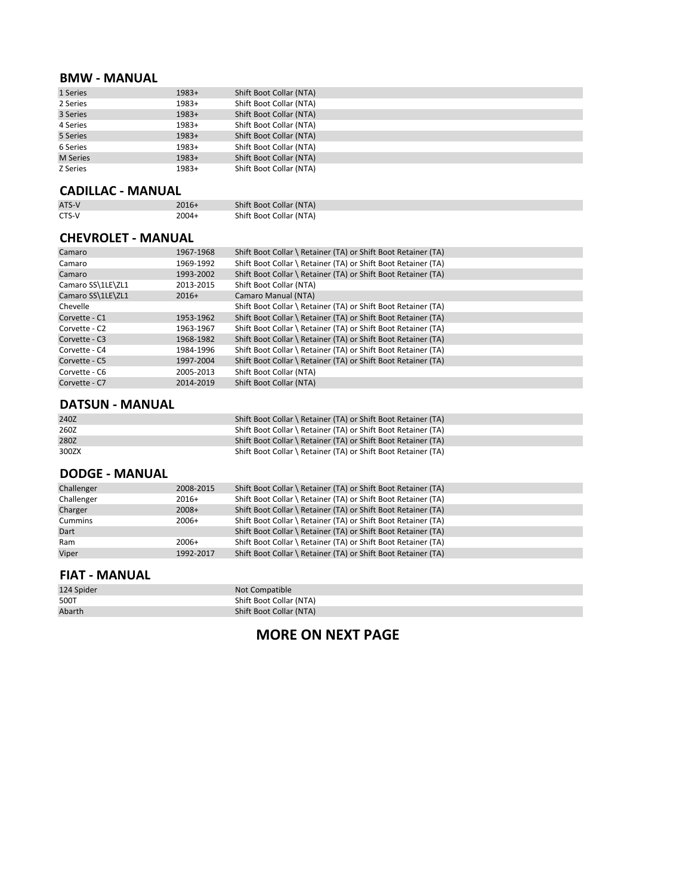#### **BMW - MANUAL**

| 1 Series        | $1983+$ | Shift Boot Collar (NTA) |
|-----------------|---------|-------------------------|
| 2 Series        | $1983+$ | Shift Boot Collar (NTA) |
| 3 Series        | $1983+$ | Shift Boot Collar (NTA) |
| 4 Series        | $1983+$ | Shift Boot Collar (NTA) |
| 5 Series        | $1983+$ | Shift Boot Collar (NTA) |
| 6 Series        | $1983+$ | Shift Boot Collar (NTA) |
| <b>M</b> Series | $1983+$ | Shift Boot Collar (NTA) |
| Z Series        | 1983+   | Shift Boot Collar (NTA) |

### **CADILLAC - MANUAL**

| ATS-V | 2016+ | Shift Boot Collar (NTA) |
|-------|-------|-------------------------|
| CTS-V | 2004+ | Shift Boot Collar (NTA) |

#### **CHEVROLET - MANUAL**

| Camaro            | 1967-1968 | Shift Boot Collar \ Retainer (TA) or Shift Boot Retainer (TA) |
|-------------------|-----------|---------------------------------------------------------------|
| Camaro            | 1969-1992 | Shift Boot Collar \ Retainer (TA) or Shift Boot Retainer (TA) |
| Camaro            | 1993-2002 | Shift Boot Collar \ Retainer (TA) or Shift Boot Retainer (TA) |
| Camaro SS\1LE\ZL1 | 2013-2015 | Shift Boot Collar (NTA)                                       |
| Camaro SS\1LE\ZL1 | $2016+$   | Camaro Manual (NTA)                                           |
| Chevelle          |           | Shift Boot Collar \ Retainer (TA) or Shift Boot Retainer (TA) |
| Corvette - C1     | 1953-1962 | Shift Boot Collar \ Retainer (TA) or Shift Boot Retainer (TA) |
| Corvette - C2     | 1963-1967 | Shift Boot Collar \ Retainer (TA) or Shift Boot Retainer (TA) |
| Corvette - C3     | 1968-1982 | Shift Boot Collar \ Retainer (TA) or Shift Boot Retainer (TA) |
| Corvette - C4     | 1984-1996 | Shift Boot Collar \ Retainer (TA) or Shift Boot Retainer (TA) |
| Corvette - C5     | 1997-2004 | Shift Boot Collar \ Retainer (TA) or Shift Boot Retainer (TA) |
| Corvette - C6     | 2005-2013 | Shift Boot Collar (NTA)                                       |
| Corvette - C7     | 2014-2019 | Shift Boot Collar (NTA)                                       |

#### **DATSUN - MANUAL**

| 240Z  | Shift Boot Collar \ Retainer (TA) or Shift Boot Retainer (TA) |
|-------|---------------------------------------------------------------|
| 260Z  | Shift Boot Collar \ Retainer (TA) or Shift Boot Retainer (TA) |
| 280Z  | Shift Boot Collar \ Retainer (TA) or Shift Boot Retainer (TA) |
| 300ZX | Shift Boot Collar \ Retainer (TA) or Shift Boot Retainer (TA) |

#### **DODGE - MANUAL**

| Challenger | 2008-2015 | Shift Boot Collar \ Retainer (TA) or Shift Boot Retainer (TA) |
|------------|-----------|---------------------------------------------------------------|
| Challenger | $2016+$   | Shift Boot Collar \ Retainer (TA) or Shift Boot Retainer (TA) |
| Charger    | $2008+$   | Shift Boot Collar \ Retainer (TA) or Shift Boot Retainer (TA) |
| Cummins    | $2006+$   | Shift Boot Collar \ Retainer (TA) or Shift Boot Retainer (TA) |
| Dart       |           | Shift Boot Collar \ Retainer (TA) or Shift Boot Retainer (TA) |
| Ram        | $2006+$   | Shift Boot Collar \ Retainer (TA) or Shift Boot Retainer (TA) |
| Viper      | 1992-2017 | Shift Boot Collar \ Retainer (TA) or Shift Boot Retainer (TA) |

### **FIAT - MANUAL**

| 124 Spider | Not Compatible          |
|------------|-------------------------|
| 500T       | Shift Boot Collar (NTA) |
| Abarth     | Shift Boot Collar (NTA) |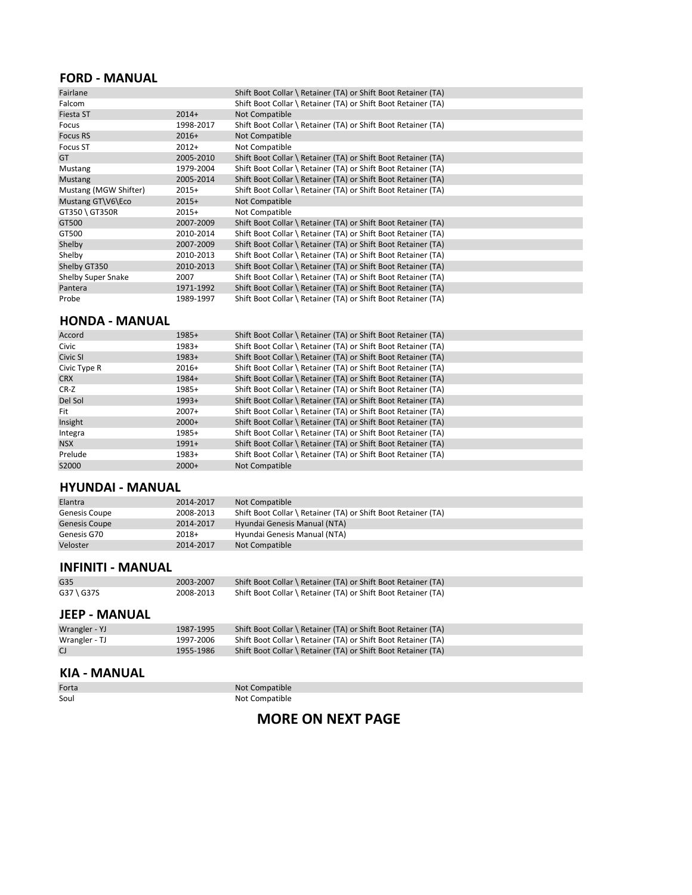#### **FORD - MANUAL**

| Fairlane              |           | Shift Boot Collar \ Retainer (TA) or Shift Boot Retainer (TA) |
|-----------------------|-----------|---------------------------------------------------------------|
| Falcom                |           | Shift Boot Collar \ Retainer (TA) or Shift Boot Retainer (TA) |
| Fiesta ST             | $2014+$   | Not Compatible                                                |
| Focus                 | 1998-2017 | Shift Boot Collar \ Retainer (TA) or Shift Boot Retainer (TA) |
| Focus RS              | $2016+$   | Not Compatible                                                |
| <b>Focus ST</b>       | $2012+$   | Not Compatible                                                |
| GT                    | 2005-2010 | Shift Boot Collar \ Retainer (TA) or Shift Boot Retainer (TA) |
| Mustang               | 1979-2004 | Shift Boot Collar \ Retainer (TA) or Shift Boot Retainer (TA) |
| <b>Mustang</b>        | 2005-2014 | Shift Boot Collar \ Retainer (TA) or Shift Boot Retainer (TA) |
| Mustang (MGW Shifter) | $2015+$   | Shift Boot Collar \ Retainer (TA) or Shift Boot Retainer (TA) |
| Mustang GT\V6\Eco     | $2015+$   | Not Compatible                                                |
| GT350 \ GT350R        | 2015+     | Not Compatible                                                |
| GT500                 | 2007-2009 | Shift Boot Collar \ Retainer (TA) or Shift Boot Retainer (TA) |
| GT500                 | 2010-2014 | Shift Boot Collar \ Retainer (TA) or Shift Boot Retainer (TA) |
| Shelby                | 2007-2009 | Shift Boot Collar \ Retainer (TA) or Shift Boot Retainer (TA) |
| Shelby                | 2010-2013 | Shift Boot Collar \ Retainer (TA) or Shift Boot Retainer (TA) |
| Shelby GT350          | 2010-2013 | Shift Boot Collar \ Retainer (TA) or Shift Boot Retainer (TA) |
| Shelby Super Snake    | 2007      | Shift Boot Collar \ Retainer (TA) or Shift Boot Retainer (TA) |
| Pantera               | 1971-1992 | Shift Boot Collar \ Retainer (TA) or Shift Boot Retainer (TA) |
| Probe                 | 1989-1997 | Shift Boot Collar \ Retainer (TA) or Shift Boot Retainer (TA) |
|                       |           |                                                               |

#### **HONDA - MANUAL**

| Accord       | $1985+$ | Shift Boot Collar \ Retainer (TA) or Shift Boot Retainer (TA) |
|--------------|---------|---------------------------------------------------------------|
| Civic        | $1983+$ | Shift Boot Collar \ Retainer (TA) or Shift Boot Retainer (TA) |
| Civic SI     | $1983+$ | Shift Boot Collar \ Retainer (TA) or Shift Boot Retainer (TA) |
| Civic Type R | $2016+$ | Shift Boot Collar \ Retainer (TA) or Shift Boot Retainer (TA) |
| <b>CRX</b>   | 1984+   | Shift Boot Collar \ Retainer (TA) or Shift Boot Retainer (TA) |
| CR-Z         | 1985+   | Shift Boot Collar \ Retainer (TA) or Shift Boot Retainer (TA) |
| Del Sol      | $1993+$ | Shift Boot Collar \ Retainer (TA) or Shift Boot Retainer (TA) |
| Fit          | $2007+$ | Shift Boot Collar \ Retainer (TA) or Shift Boot Retainer (TA) |
| Insight      | $2000+$ | Shift Boot Collar \ Retainer (TA) or Shift Boot Retainer (TA) |
| Integra      | 1985+   | Shift Boot Collar \ Retainer (TA) or Shift Boot Retainer (TA) |
| <b>NSX</b>   | $1991+$ | Shift Boot Collar \ Retainer (TA) or Shift Boot Retainer (TA) |
| Prelude      | 1983+   | Shift Boot Collar \ Retainer (TA) or Shift Boot Retainer (TA) |
| S2000        | $2000+$ | Not Compatible                                                |
|              |         |                                                               |

#### **HYUNDAI - MANUAL**

| Elantra              | 2014-2017 | Not Compatible                                                |
|----------------------|-----------|---------------------------------------------------------------|
| Genesis Coupe        | 2008-2013 | Shift Boot Collar \ Retainer (TA) or Shift Boot Retainer (TA) |
| <b>Genesis Coupe</b> | 2014-2017 | Hyundai Genesis Manual (NTA)                                  |
| Genesis G70          | 2018+     | Hyundai Genesis Manual (NTA)                                  |
| Veloster             | 2014-2017 | Not Compatible                                                |

#### **INFINITI - MANUAL**

| G35        | 2003-2007 | Shift Boot Collar \ Retainer (TA) or Shift Boot Retainer (TA) |
|------------|-----------|---------------------------------------------------------------|
| G37 \ G37S | 2008-2013 | Shift Boot Collar \ Retainer (TA) or Shift Boot Retainer (TA) |

#### **JEEP - MANUAL**

| Wrangler - YJ  | 1987-1995 | Shift Boot Collar \ Retainer (TA) or Shift Boot Retainer (TA) |
|----------------|-----------|---------------------------------------------------------------|
| Wrangler - TJ  | 1997-2006 | Shift Boot Collar \ Retainer (TA) or Shift Boot Retainer (TA) |
| C <sub>1</sub> | 1955-1986 | Shift Boot Collar \ Retainer (TA) or Shift Boot Retainer (TA) |

# **KIA - MANUAL**

Forta **Not Compatible** Soul and the Compatible of the Not Compatible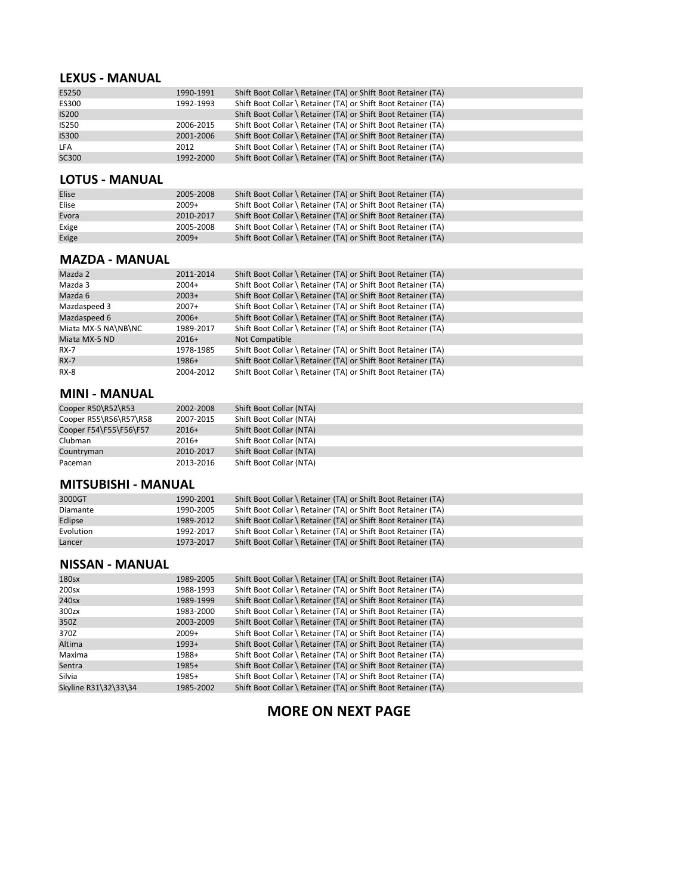#### **LEXUS - MANUAL**

| <b>ES250</b> | 1990-1991 | Shift Boot Collar \ Retainer (TA) or Shift Boot Retainer (TA) |
|--------------|-----------|---------------------------------------------------------------|
| ES300        | 1992-1993 | Shift Boot Collar \ Retainer (TA) or Shift Boot Retainer (TA) |
| <b>IS200</b> |           | Shift Boot Collar \ Retainer (TA) or Shift Boot Retainer (TA) |
| IS250        | 2006-2015 | Shift Boot Collar \ Retainer (TA) or Shift Boot Retainer (TA) |
| <b>IS300</b> | 2001-2006 | Shift Boot Collar \ Retainer (TA) or Shift Boot Retainer (TA) |
| <b>LFA</b>   | 2012      | Shift Boot Collar \ Retainer (TA) or Shift Boot Retainer (TA) |
| <b>SC300</b> | 1992-2000 | Shift Boot Collar \ Retainer (TA) or Shift Boot Retainer (TA) |

#### **LOTUS - MANUAL**

| Elise | 2005-2008 | Shift Boot Collar \ Retainer (TA) or Shift Boot Retainer (TA) |
|-------|-----------|---------------------------------------------------------------|
| Elise | $2009+$   | Shift Boot Collar \ Retainer (TA) or Shift Boot Retainer (TA) |
| Evora | 2010-2017 | Shift Boot Collar \ Retainer (TA) or Shift Boot Retainer (TA) |
| Exige | 2005-2008 | Shift Boot Collar \ Retainer (TA) or Shift Boot Retainer (TA) |
| Exige | $2009+$   | Shift Boot Collar \ Retainer (TA) or Shift Boot Retainer (TA) |

#### **MAZDA - MANUAL**

| Mazda 2             | 2011-2014 | Shift Boot Collar \ Retainer (TA) or Shift Boot Retainer (TA) |
|---------------------|-----------|---------------------------------------------------------------|
| Mazda 3             | $2004+$   | Shift Boot Collar \ Retainer (TA) or Shift Boot Retainer (TA) |
| Mazda 6             | $2003+$   | Shift Boot Collar \ Retainer (TA) or Shift Boot Retainer (TA) |
| Mazdaspeed 3        | $2007+$   | Shift Boot Collar \ Retainer (TA) or Shift Boot Retainer (TA) |
| Mazdaspeed 6        | $2006+$   | Shift Boot Collar \ Retainer (TA) or Shift Boot Retainer (TA) |
| Miata MX-5 NA\NB\NC | 1989-2017 | Shift Boot Collar \ Retainer (TA) or Shift Boot Retainer (TA) |
| Miata MX-5 ND       | $2016+$   | Not Compatible                                                |
| <b>RX-7</b>         | 1978-1985 | Shift Boot Collar \ Retainer (TA) or Shift Boot Retainer (TA) |
| $RX-7$              | $1986+$   | Shift Boot Collar \ Retainer (TA) or Shift Boot Retainer (TA) |
| <b>RX-8</b>         | 2004-2012 | Shift Boot Collar \ Retainer (TA) or Shift Boot Retainer (TA) |

#### **MINI - MANUAL**

| Cooper R50\R52\R53     | 2002-2008 | Shift Boot Collar (NTA) |
|------------------------|-----------|-------------------------|
| Cooper R55\R56\R57\R58 | 2007-2015 | Shift Boot Collar (NTA) |
| Cooper F54\F55\F56\F57 | $2016+$   | Shift Boot Collar (NTA) |
| Clubman                | $2016+$   | Shift Boot Collar (NTA) |
| Countryman             | 2010-2017 | Shift Boot Collar (NTA) |
| Paceman                | 2013-2016 | Shift Boot Collar (NTA) |

#### **MITSUBISHI - MANUAL**

| 3000GT    | 1990-2001 | Shift Boot Collar \ Retainer (TA) or Shift Boot Retainer (TA) |
|-----------|-----------|---------------------------------------------------------------|
|           |           |                                                               |
| Diamante  | 1990-2005 | Shift Boot Collar \ Retainer (TA) or Shift Boot Retainer (TA) |
| Eclipse   | 1989-2012 | Shift Boot Collar \ Retainer (TA) or Shift Boot Retainer (TA) |
| Evolution | 1992-2017 | Shift Boot Collar \ Retainer (TA) or Shift Boot Retainer (TA) |
| Lancer    | 1973-2017 | Shift Boot Collar \ Retainer (TA) or Shift Boot Retainer (TA) |

#### **NISSAN - MANUAL**

| 180sx                | 1989-2005 | Shift Boot Collar \ Retainer (TA) or Shift Boot Retainer (TA) |
|----------------------|-----------|---------------------------------------------------------------|
| 200sx                | 1988-1993 | Shift Boot Collar \ Retainer (TA) or Shift Boot Retainer (TA) |
| 240sx                | 1989-1999 | Shift Boot Collar \ Retainer (TA) or Shift Boot Retainer (TA) |
| 300zx                | 1983-2000 | Shift Boot Collar \ Retainer (TA) or Shift Boot Retainer (TA) |
| 350Z                 | 2003-2009 | Shift Boot Collar \ Retainer (TA) or Shift Boot Retainer (TA) |
| 370Z                 | $2009+$   | Shift Boot Collar \ Retainer (TA) or Shift Boot Retainer (TA) |
| Altima               | $1993+$   | Shift Boot Collar \ Retainer (TA) or Shift Boot Retainer (TA) |
| Maxima               | 1988+     | Shift Boot Collar \ Retainer (TA) or Shift Boot Retainer (TA) |
| Sentra               | $1985+$   | Shift Boot Collar \ Retainer (TA) or Shift Boot Retainer (TA) |
| Silvia               | 1985+     | Shift Boot Collar \ Retainer (TA) or Shift Boot Retainer (TA) |
| Skyline R31\32\33\34 | 1985-2002 | Shift Boot Collar \ Retainer (TA) or Shift Boot Retainer (TA) |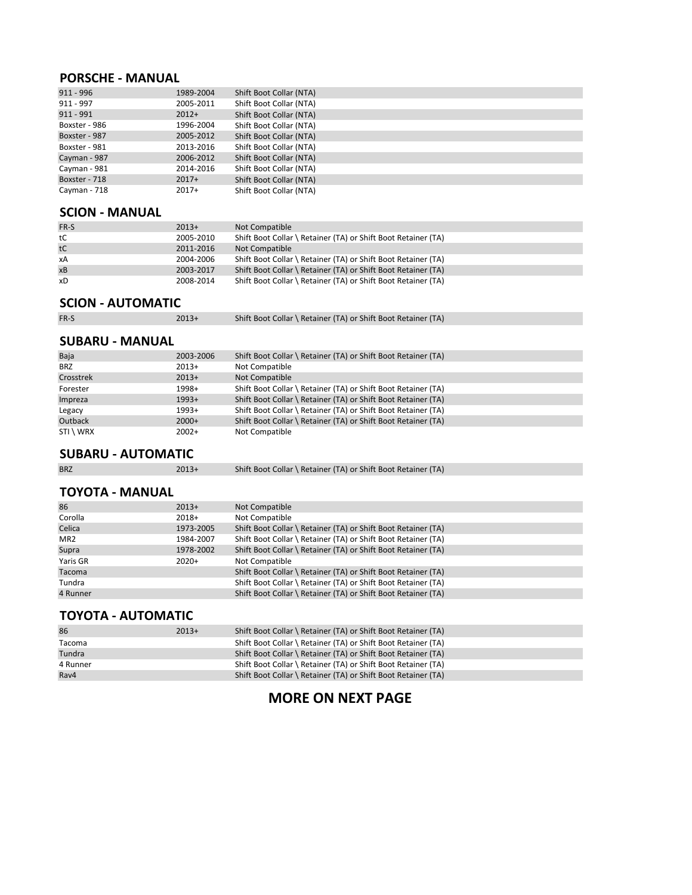#### **PORSCHE - MANUAL**

| 1989-2004 | Shift Boot Collar (NTA) |
|-----------|-------------------------|
| 2005-2011 | Shift Boot Collar (NTA) |
| $2012+$   | Shift Boot Collar (NTA) |
| 1996-2004 | Shift Boot Collar (NTA) |
| 2005-2012 | Shift Boot Collar (NTA) |
| 2013-2016 | Shift Boot Collar (NTA) |
| 2006-2012 | Shift Boot Collar (NTA) |
| 2014-2016 | Shift Boot Collar (NTA) |
| $2017+$   | Shift Boot Collar (NTA) |
| $2017+$   | Shift Boot Collar (NTA) |
|           |                         |

#### **SCION - MANUAL**

| FR-S | $2013+$   | Not Compatible                                                |
|------|-----------|---------------------------------------------------------------|
| tC   | 2005-2010 | Shift Boot Collar \ Retainer (TA) or Shift Boot Retainer (TA) |
| tC   | 2011-2016 | Not Compatible                                                |
| xA   | 2004-2006 | Shift Boot Collar \ Retainer (TA) or Shift Boot Retainer (TA) |
| xB   | 2003-2017 | Shift Boot Collar \ Retainer (TA) or Shift Boot Retainer (TA) |
| xD   | 2008-2014 | Shift Boot Collar \ Retainer (TA) or Shift Boot Retainer (TA) |

**SCION - AUTOMATIC**<br>FR-S 2013+ Shift Boot Collar \ Retainer (TA) or Shift Boot Retainer (TA)

#### **SUBARU - MANUAL**

| Baja       | 2003-2006 | Shift Boot Collar \ Retainer (TA) or Shift Boot Retainer (TA) |
|------------|-----------|---------------------------------------------------------------|
| <b>BRZ</b> | $2013+$   | Not Compatible                                                |
| Crosstrek  | $2013+$   | Not Compatible                                                |
| Forester   | 1998+     | Shift Boot Collar \ Retainer (TA) or Shift Boot Retainer (TA) |
| Impreza    | $1993+$   | Shift Boot Collar \ Retainer (TA) or Shift Boot Retainer (TA) |
| Legacy     | $1993+$   | Shift Boot Collar \ Retainer (TA) or Shift Boot Retainer (TA) |
| Outback    | $2000+$   | Shift Boot Collar \ Retainer (TA) or Shift Boot Retainer (TA) |
| STI \ WRX  | $2002+$   | Not Compatible                                                |
|            |           |                                                               |

# **SUBARU - AUTOMATIC**

2013+ Shift Boot Collar \ Retainer (TA) or Shift Boot Retainer (TA)

#### **TOYOTA - MANUAL**

| 86              | $2013+$   | Not Compatible                                                |
|-----------------|-----------|---------------------------------------------------------------|
| Corolla         | $2018+$   | Not Compatible                                                |
| Celica          | 1973-2005 | Shift Boot Collar \ Retainer (TA) or Shift Boot Retainer (TA) |
| MR <sub>2</sub> | 1984-2007 | Shift Boot Collar \ Retainer (TA) or Shift Boot Retainer (TA) |
| Supra           | 1978-2002 | Shift Boot Collar \ Retainer (TA) or Shift Boot Retainer (TA) |
| Yaris GR        | $2020+$   | Not Compatible                                                |
| Tacoma          |           | Shift Boot Collar \ Retainer (TA) or Shift Boot Retainer (TA) |
| Tundra          |           | Shift Boot Collar \ Retainer (TA) or Shift Boot Retainer (TA) |
| 4 Runner        |           | Shift Boot Collar \ Retainer (TA) or Shift Boot Retainer (TA) |
|                 |           |                                                               |

#### **TOYOTA - AUTOMATIC**

| $2013+$ | Shift Boot Collar \ Retainer (TA) or Shift Boot Retainer (TA) |
|---------|---------------------------------------------------------------|
|         | Shift Boot Collar \ Retainer (TA) or Shift Boot Retainer (TA) |
|         | Shift Boot Collar \ Retainer (TA) or Shift Boot Retainer (TA) |
|         | Shift Boot Collar \ Retainer (TA) or Shift Boot Retainer (TA) |
|         | Shift Boot Collar \ Retainer (TA) or Shift Boot Retainer (TA) |
|         |                                                               |